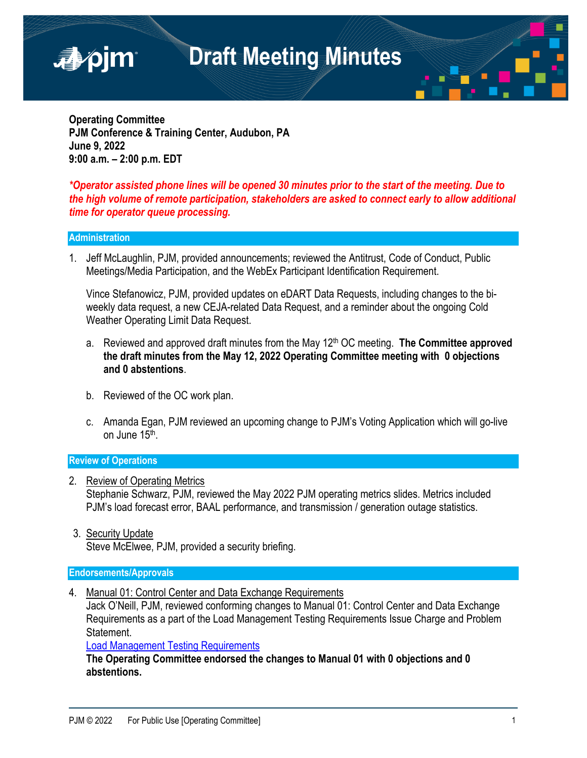

**Operating Committee PJM Conference & Training Center, Audubon, PA June 9, 2022 9:00 a.m. – 2:00 p.m. EDT**

### *\*Operator assisted phone lines will be opened 30 minutes prior to the start of the meeting. Due to the high volume of remote participation, stakeholders are asked to connect early to allow additional time for operator queue processing.*

### **Administration**

1. Jeff McLaughlin, PJM, provided announcements; reviewed the Antitrust, Code of Conduct, Public Meetings/Media Participation, and the WebEx Participant Identification Requirement.

Vince Stefanowicz, PJM, provided updates on eDART Data Requests, including changes to the biweekly data request, a new CEJA-related Data Request, and a reminder about the ongoing Cold Weather Operating Limit Data Request.

- a. Reviewed and approved draft minutes from the May 12<sup>th</sup> OC meeting. **The Committee approved the draft minutes from the May 12, 2022 Operating Committee meeting with 0 objections and 0 abstentions**.
- b. Reviewed of the OC work plan.
- c. Amanda Egan, PJM reviewed an upcoming change to PJM's Voting Application which will go-live on June 15<sup>th</sup>.

#### **Review of Operations**

- 2. Review of Operating Metrics Stephanie Schwarz, PJM, reviewed the May 2022 PJM operating metrics slides. Metrics included PJM's load forecast error, BAAL performance, and transmission / generation outage statistics.
- 3. Security Update

Steve McElwee, PJM, provided a security briefing.

### **Endorsements/Approvals**

4. Manual 01: Control Center and Data Exchange Requirements

Jack O'Neill, PJM, reviewed conforming changes to Manual 01: Control Center and Data Exchange Requirements as a part of the Load Management Testing Requirements Issue Charge and Problem Statement.

[Load Management Testing Requirements](https://pjm.com/committees-and-groups/issue-tracking/issue-tracking-details.aspx?Issue=51c7a25c-4ee6-42a5-a6d6-3ca46581e9a9)

**The Operating Committee endorsed the changes to Manual 01 with 0 objections and 0 abstentions.**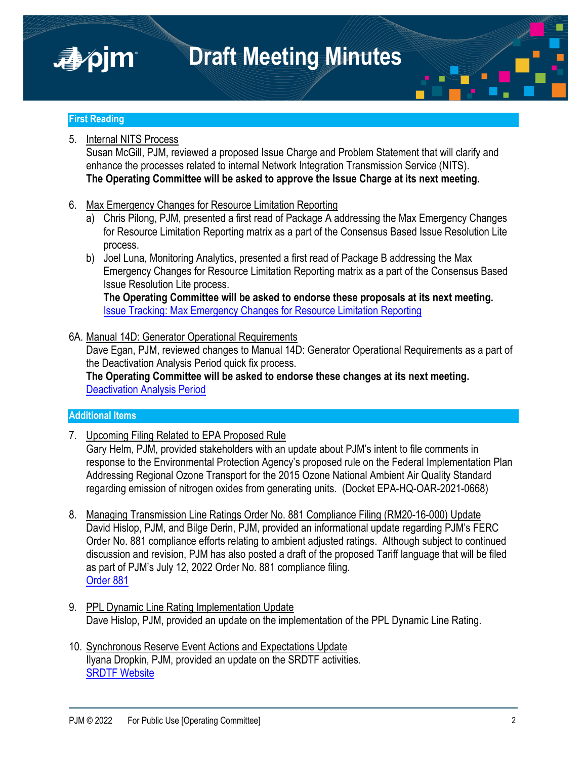



### **First Reading**

### 5. Internal NITS Process

Susan McGill, PJM, reviewed a proposed Issue Charge and Problem Statement that will clarify and enhance the processes related to internal Network Integration Transmission Service (NITS). **The Operating Committee will be asked to approve the Issue Charge at its next meeting.**

- 6. Max Emergency Changes for Resource Limitation Reporting
	- a) Chris Pilong, PJM, presented a first read of Package A addressing the Max Emergency Changes for Resource Limitation Reporting matrix as a part of the Consensus Based Issue Resolution Lite process.
	- b) Joel Luna, Monitoring Analytics, presented a first read of Package B addressing the Max Emergency Changes for Resource Limitation Reporting matrix as a part of the Consensus Based Issue Resolution Lite process.

**The Operating Committee will be asked to endorse these proposals at its next meeting.** [Issue Tracking: Max Emergency Changes for Resource Limitation Reporting](https://www.pjm.com/committees-and-groups/issue-tracking/issue-tracking-details.aspx?Issue=65273322-ad48-4a54-b630-a480c5695a14)

### 6A. Manual 14D: Generator Operational Requirements

Dave Egan, PJM, reviewed changes to Manual 14D: Generator Operational Requirements as a part of the Deactivation Analysis Period quick fix process.

**The Operating Committee will be asked to endorse these changes at its next meeting.** [Deactivation Analysis Period](https://pjm.com/committees-and-groups/issue-tracking/issue-tracking-details.aspx?Issue=ce96c0de-ffc6-4415-b836-d1bada79099f)

### **Additional Items**

7. Upcoming Filing Related to EPA Proposed Rule

Gary Helm, PJM, provided stakeholders with an update about PJM's intent to file comments in response to the Environmental Protection Agency's proposed rule on the Federal Implementation Plan Addressing Regional Ozone Transport for the 2015 Ozone National Ambient Air Quality Standard regarding emission of nitrogen oxides from generating units. (Docket EPA-HQ-OAR-2021-0668)

- 8. Managing Transmission Line Ratings Order No. 881 Compliance Filing (RM20-16-000) Update David Hislop, PJM, and Bilge Derin, PJM, provided an informational update regarding PJM's FERC Order No. 881 compliance efforts relating to ambient adjusted ratings. Although subject to continued discussion and revision, PJM has also posted a draft of the proposed Tariff language that will be filed as part of PJM's July 12, 2022 Order No. 881 compliance filing. [Order 881](https://www.ferc.gov/media/e-1-rm20-16-000)
- 9. PPL Dynamic Line Rating Implementation Update Dave Hislop, PJM, provided an update on the implementation of the PPL Dynamic Line Rating.
- 10. Synchronous Reserve Event Actions and Expectations Update Ilyana Dropkin, PJM, provided an update on the SRDTF activities. [SRDTF Website](https://pjm.com/committees-and-groups/task-forces/srdtf)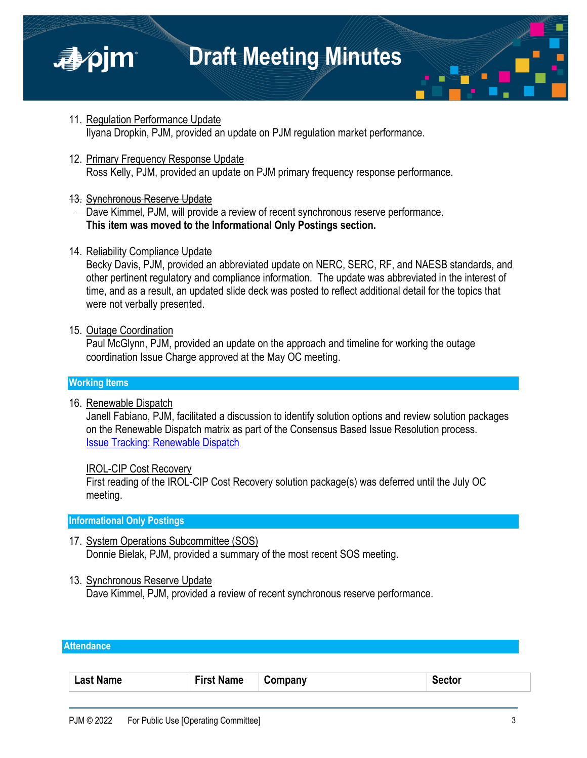



- 11. Regulation Performance Update Ilyana Dropkin, PJM, provided an update on PJM regulation market performance.
- 12. Primary Frequency Response Update Ross Kelly, PJM, provided an update on PJM primary frequency response performance.
- 13. Synchronous Reserve Update

Dave Kimmel, PJM, will provide a review of recent synchronous reserve performance. **This item was moved to the Informational Only Postings section.**

14. Reliability Compliance Update

Becky Davis, PJM, provided an abbreviated update on NERC, SERC, RF, and NAESB standards, and other pertinent regulatory and compliance information. The update was abbreviated in the interest of time, and as a result, an updated slide deck was posted to reflect additional detail for the topics that were not verbally presented.

15. Outage Coordination

Paul McGlynn, PJM, provided an update on the approach and timeline for working the outage coordination Issue Charge approved at the May OC meeting.

### **Working Items**

16. Renewable Dispatch

Janell Fabiano, PJM, facilitated a discussion to identify solution options and review solution packages on the Renewable Dispatch matrix as part of the Consensus Based Issue Resolution process. [Issue Tracking: Renewable Dispatch](https://www.pjm.com/committees-and-groups/issue-tracking/issue-tracking-details.aspx?Issue=197f2bf2-4d61-4894-bc57-e91267bb6dce)

### IROL-CIP Cost Recovery

First reading of the IROL-CIP Cost Recovery solution package(s) was deferred until the July OC meeting.

### **Informational Only Postings**

- 17. System Operations Subcommittee (SOS) Donnie Bielak, PJM, provided a summary of the most recent SOS meeting.
- 13. Synchronous Reserve Update Dave Kimmel, PJM, provided a review of recent synchronous reserve performance.

### **Attendance**

|  | Last Name | First Na.<br><b>Name</b> | Company | Sector |
|--|-----------|--------------------------|---------|--------|
|--|-----------|--------------------------|---------|--------|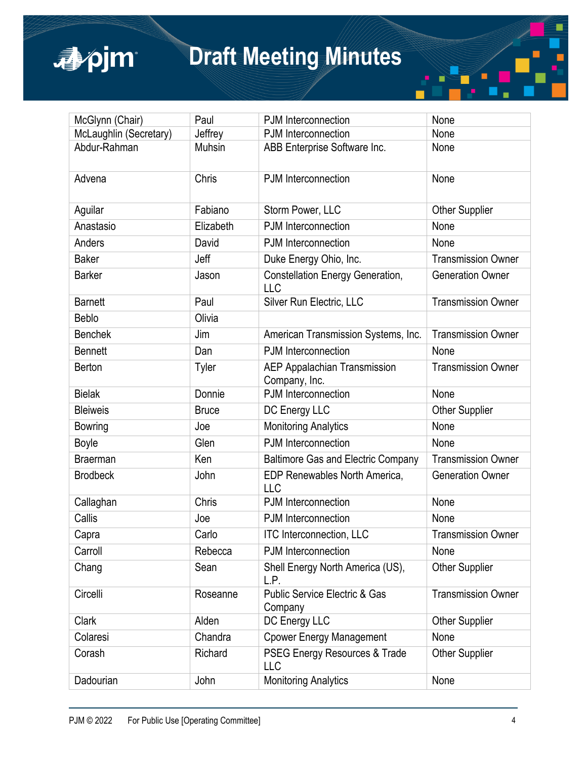

| McGlynn (Chair)        | Paul          | PJM Interconnection                                  | None                      |
|------------------------|---------------|------------------------------------------------------|---------------------------|
| McLaughlin (Secretary) | Jeffrey       | PJM Interconnection                                  | None                      |
| Abdur-Rahman           | <b>Muhsin</b> | ABB Enterprise Software Inc.                         | None                      |
| Advena                 | Chris         | PJM Interconnection                                  | None                      |
| Aguilar                | Fabiano       | Storm Power, LLC                                     | <b>Other Supplier</b>     |
| Anastasio              | Elizabeth     | PJM Interconnection                                  | None                      |
| Anders                 | David         | PJM Interconnection                                  | None                      |
| <b>Baker</b>           | Jeff          | Duke Energy Ohio, Inc.                               | <b>Transmission Owner</b> |
| <b>Barker</b>          | Jason         | Constellation Energy Generation,<br>LLC              | <b>Generation Owner</b>   |
| <b>Barnett</b>         | Paul          | Silver Run Electric, LLC                             | <b>Transmission Owner</b> |
| <b>Beblo</b>           | Olivia        |                                                      |                           |
| <b>Benchek</b>         | Jim           | American Transmission Systems, Inc.                  | <b>Transmission Owner</b> |
| <b>Bennett</b>         | Dan           | PJM Interconnection                                  | None                      |
| Berton                 | Tyler         | <b>AEP Appalachian Transmission</b><br>Company, Inc. | <b>Transmission Owner</b> |
| <b>Bielak</b>          | Donnie        | PJM Interconnection                                  | None                      |
| <b>Bleiweis</b>        | <b>Bruce</b>  | DC Energy LLC                                        | <b>Other Supplier</b>     |
| <b>Bowring</b>         | Joe           | <b>Monitoring Analytics</b>                          | None                      |
| <b>Boyle</b>           | Glen          | PJM Interconnection                                  | None                      |
| <b>Braerman</b>        | Ken           | <b>Baltimore Gas and Electric Company</b>            | <b>Transmission Owner</b> |
| <b>Brodbeck</b>        | John          | <b>EDP Renewables North America,</b><br>LLC          | <b>Generation Owner</b>   |
| Callaghan              | Chris         | PJM Interconnection                                  | None                      |
| Callis                 | Joe           | PJM Interconnection                                  | None                      |
| Capra                  | Carlo         | <b>ITC Interconnection, LLC</b>                      | <b>Transmission Owner</b> |
| Carroll                | Rebecca       | PJM Interconnection                                  | None                      |
| Chang                  | Sean          | Shell Energy North America (US),<br>L.P.             | <b>Other Supplier</b>     |
| Circelli               | Roseanne      | <b>Public Service Electric &amp; Gas</b><br>Company  | <b>Transmission Owner</b> |
| Clark                  | Alden         | DC Energy LLC                                        | <b>Other Supplier</b>     |
| Colaresi               | Chandra       | <b>Cpower Energy Management</b>                      | None                      |
| Corash                 | Richard       | PSEG Energy Resources & Trade<br>LLC                 | <b>Other Supplier</b>     |
| Dadourian              | John          | <b>Monitoring Analytics</b>                          | None                      |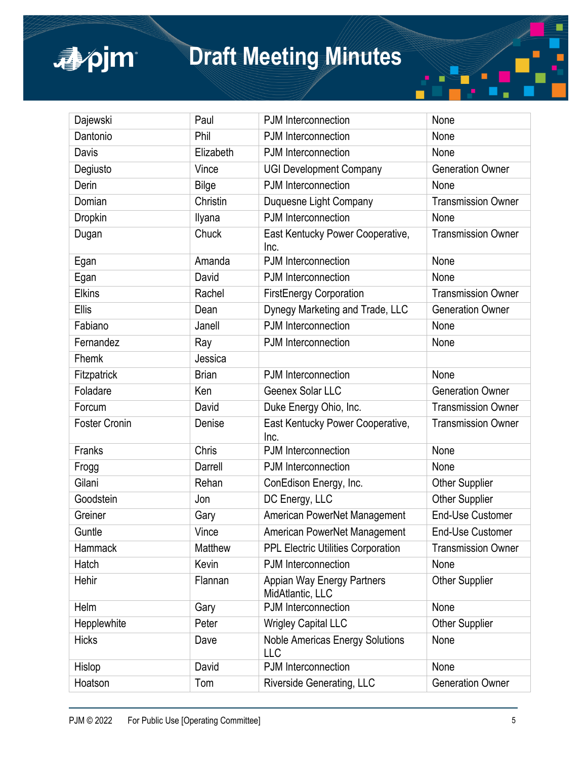apjm

| Dajewski             | Paul         | PJM Interconnection                            | None                      |  |
|----------------------|--------------|------------------------------------------------|---------------------------|--|
| Dantonio             | Phil         | PJM Interconnection                            | None                      |  |
| Davis                | Elizabeth    | PJM Interconnection                            | None                      |  |
| Degiusto             | Vince        | <b>UGI Development Company</b>                 | <b>Generation Owner</b>   |  |
| Derin                | Bilge        | PJM Interconnection                            | None                      |  |
| Domian               | Christin     | Duquesne Light Company                         | <b>Transmission Owner</b> |  |
| <b>Dropkin</b>       | Ilyana       | PJM Interconnection                            | None                      |  |
| Dugan                | Chuck        | East Kentucky Power Cooperative,<br>Inc.       | <b>Transmission Owner</b> |  |
| Egan                 | Amanda       | PJM Interconnection                            | None                      |  |
| Egan                 | David        | PJM Interconnection                            | None                      |  |
| <b>Elkins</b>        | Rachel       | <b>FirstEnergy Corporation</b>                 | <b>Transmission Owner</b> |  |
| Ellis                | Dean         | Dynegy Marketing and Trade, LLC                | <b>Generation Owner</b>   |  |
| Fabiano              | Janell       | PJM Interconnection                            | None                      |  |
| Fernandez            | Ray          | PJM Interconnection                            | None                      |  |
| Fhemk                | Jessica      |                                                |                           |  |
| Fitzpatrick          | <b>Brian</b> | PJM Interconnection                            | None                      |  |
| Foladare             | Ken          | Geenex Solar LLC                               | <b>Generation Owner</b>   |  |
| Forcum               | David        | Duke Energy Ohio, Inc.                         | <b>Transmission Owner</b> |  |
| <b>Foster Cronin</b> | Denise       | East Kentucky Power Cooperative,<br>Inc.       | <b>Transmission Owner</b> |  |
| Franks               | Chris        | PJM Interconnection                            | None                      |  |
| Frogg                | Darrell      | PJM Interconnection                            | None                      |  |
| Gilani               | Rehan        | ConEdison Energy, Inc.                         | <b>Other Supplier</b>     |  |
| Goodstein            | Jon          | DC Energy, LLC                                 | <b>Other Supplier</b>     |  |
| Greiner              | Gary         | American PowerNet Management                   | <b>End-Use Customer</b>   |  |
| Guntle               | Vince        | American PowerNet Management                   | <b>End-Use Customer</b>   |  |
| Hammack              | Matthew      | <b>PPL Electric Utilities Corporation</b>      | <b>Transmission Owner</b> |  |
| Hatch                | Kevin        | PJM Interconnection                            | None                      |  |
| Hehir                | Flannan      | Appian Way Energy Partners<br>MidAtlantic, LLC | <b>Other Supplier</b>     |  |
| Helm                 | Gary         | PJM Interconnection                            | None                      |  |
| Hepplewhite          | Peter        | <b>Wrigley Capital LLC</b>                     | <b>Other Supplier</b>     |  |
| <b>Hicks</b>         | Dave         | <b>Noble Americas Energy Solutions</b><br>LLC  | None                      |  |
| Hislop               | David        | PJM Interconnection                            | None                      |  |
| Hoatson              | Tom          | Riverside Generating, LLC                      | <b>Generation Owner</b>   |  |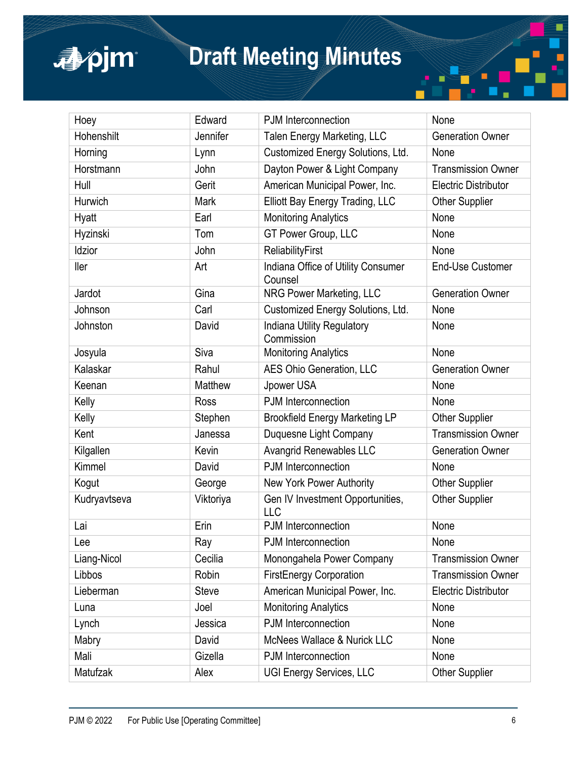apjm

| Hoey         | Edward         | PJM Interconnection                            | None                        |  |
|--------------|----------------|------------------------------------------------|-----------------------------|--|
| Hohenshilt   | Jennifer       | Talen Energy Marketing, LLC                    | <b>Generation Owner</b>     |  |
| Horning      | Lynn           | Customized Energy Solutions, Ltd.              | None                        |  |
| Horstmann    | John           | Dayton Power & Light Company                   | <b>Transmission Owner</b>   |  |
| Hull         | Gerit          | American Municipal Power, Inc.                 | <b>Electric Distributor</b> |  |
| Hurwich      | Mark           | Elliott Bay Energy Trading, LLC                | <b>Other Supplier</b>       |  |
| Hyatt        | Earl           | <b>Monitoring Analytics</b>                    | None                        |  |
| Hyzinski     | Tom            | GT Power Group, LLC                            | None                        |  |
| Idzior       | John           | <b>ReliabilityFirst</b>                        | None                        |  |
| ller         | Art            | Indiana Office of Utility Consumer<br>Counsel  | <b>End-Use Customer</b>     |  |
| Jardot       | Gina           | NRG Power Marketing, LLC                       | <b>Generation Owner</b>     |  |
| Johnson      | Carl           | Customized Energy Solutions, Ltd.              | None                        |  |
| Johnston     | David          | Indiana Utility Regulatory<br>Commission       | None                        |  |
| Josyula      | Siva           | <b>Monitoring Analytics</b>                    | None                        |  |
| Kalaskar     | Rahul          | <b>AES Ohio Generation, LLC</b>                | <b>Generation Owner</b>     |  |
| Keenan       | <b>Matthew</b> | Jpower USA                                     | None                        |  |
| Kelly        | Ross           | PJM Interconnection                            | None                        |  |
| Kelly        | Stephen        | <b>Brookfield Energy Marketing LP</b>          | <b>Other Supplier</b>       |  |
| Kent         | Janessa        | Duquesne Light Company                         | <b>Transmission Owner</b>   |  |
| Kilgallen    | Kevin          | <b>Avangrid Renewables LLC</b>                 | <b>Generation Owner</b>     |  |
| Kimmel       | David          | PJM Interconnection                            | None                        |  |
| Kogut        | George         | New York Power Authority                       | <b>Other Supplier</b>       |  |
| Kudryavtseva | Viktoriya      | Gen IV Investment Opportunities,<br><b>LLC</b> | <b>Other Supplier</b>       |  |
| Lai          | Erin           | PJM Interconnection                            | None                        |  |
| Lee          | Ray            | PJM Interconnection                            | None                        |  |
| Liang-Nicol  | Cecilia        | Monongahela Power Company                      | <b>Transmission Owner</b>   |  |
| Libbos       | Robin          | <b>FirstEnergy Corporation</b>                 | <b>Transmission Owner</b>   |  |
| Lieberman    | <b>Steve</b>   | American Municipal Power, Inc.                 | <b>Electric Distributor</b> |  |
| Luna         | Joel           | <b>Monitoring Analytics</b>                    | None                        |  |
| Lynch        | Jessica        | PJM Interconnection                            | None                        |  |
| Mabry        | David          | <b>McNees Wallace &amp; Nurick LLC</b>         | None                        |  |
| Mali         | Gizella        | PJM Interconnection                            | None                        |  |
| Matufzak     | Alex           | <b>UGI Energy Services, LLC</b>                | <b>Other Supplier</b>       |  |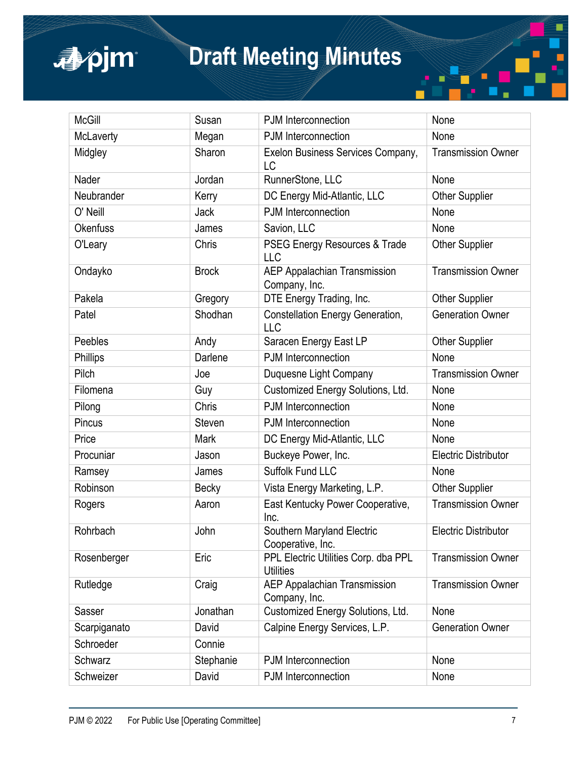# apjm

## **Draft Meeting Minutes**

| <b>McGill</b>   | Susan         | PJM Interconnection                                                                   | None                        |
|-----------------|---------------|---------------------------------------------------------------------------------------|-----------------------------|
| McLaverty       | Megan         | PJM Interconnection                                                                   | None                        |
| Midgley         | Sharon        | Exelon Business Services Company,<br><b>Transmission Owner</b><br>LC                  |                             |
| Nader           | Jordan        | RunnerStone, LLC<br>None                                                              |                             |
| Neubrander      | Kerry         | DC Energy Mid-Atlantic, LLC                                                           | <b>Other Supplier</b>       |
| O' Neill        | Jack          | PJM Interconnection                                                                   | None                        |
| <b>Okenfuss</b> | James         | Savion, LLC                                                                           | None                        |
| O'Leary         | Chris         | PSEG Energy Resources & Trade<br><b>LLC</b>                                           | <b>Other Supplier</b>       |
| Ondayko         | <b>Brock</b>  | <b>AEP Appalachian Transmission</b><br>Company, Inc.                                  | <b>Transmission Owner</b>   |
| Pakela          | Gregory       | DTE Energy Trading, Inc.                                                              | <b>Other Supplier</b>       |
| Patel           | Shodhan       | Constellation Energy Generation,<br><b>LLC</b>                                        | <b>Generation Owner</b>     |
| Peebles         | Andy          | Saracen Energy East LP                                                                | <b>Other Supplier</b>       |
| Phillips        | Darlene       | PJM Interconnection                                                                   | None                        |
| Pilch           | Joe           | Duquesne Light Company                                                                | <b>Transmission Owner</b>   |
| Filomena        | Guy           | Customized Energy Solutions, Ltd.                                                     | None                        |
| Pilong          | Chris         | PJM Interconnection                                                                   | None                        |
| Pincus          | <b>Steven</b> | PJM Interconnection                                                                   | None                        |
| Price           | Mark          | DC Energy Mid-Atlantic, LLC                                                           | None                        |
| Procuniar       | Jason         | Buckeye Power, Inc.                                                                   | <b>Electric Distributor</b> |
| Ramsey          | James         | Suffolk Fund LLC                                                                      | None                        |
| Robinson        | Becky         | Vista Energy Marketing, L.P.                                                          | <b>Other Supplier</b>       |
| Rogers          | Aaron         | East Kentucky Power Cooperative,<br>Inc.                                              | <b>Transmission Owner</b>   |
| Rohrbach        | John          | Southern Maryland Electric<br>Cooperative, Inc.                                       | <b>Electric Distributor</b> |
| Rosenberger     | Eric          | PPL Electric Utilities Corp. dba PPL<br><b>Transmission Owner</b><br><b>Utilities</b> |                             |
| Rutledge        | Craig         | <b>AEP Appalachian Transmission</b><br>Company, Inc.                                  | <b>Transmission Owner</b>   |
| Sasser          | Jonathan      | Customized Energy Solutions, Ltd.                                                     | None                        |
| Scarpiganato    | David         | Calpine Energy Services, L.P.                                                         | <b>Generation Owner</b>     |
| Schroeder       | Connie        |                                                                                       |                             |
| Schwarz         | Stephanie     | PJM Interconnection                                                                   | None                        |
| Schweizer       | David         | PJM Interconnection                                                                   | None                        |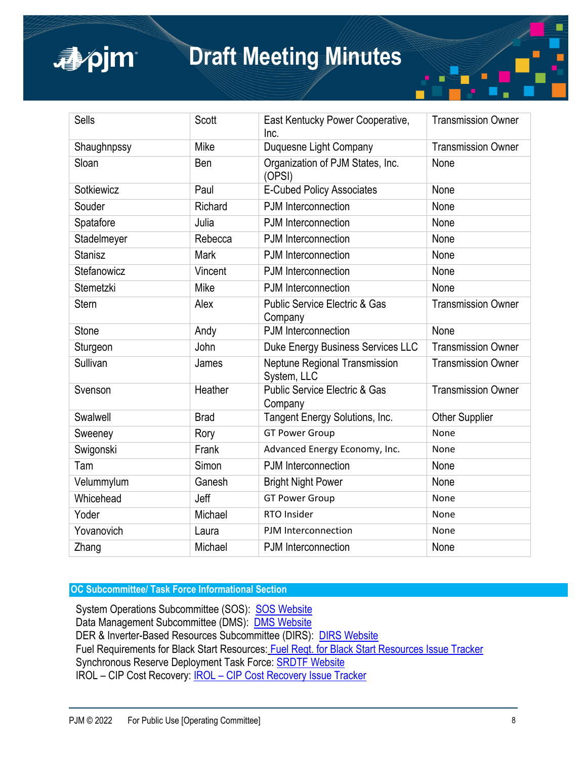### apjm

### **Draft Meeting Minutes**

| <b>Sells</b>   | Scott       | East Kentucky Power Cooperative,<br><b>Transmission Owner</b><br>Inc.            |                           |  |
|----------------|-------------|----------------------------------------------------------------------------------|---------------------------|--|
| Shaughnpssy    | Mike        | Duquesne Light Company<br><b>Transmission Owner</b>                              |                           |  |
| Sloan          | Ben         | Organization of PJM States, Inc.<br>None<br>(OPSI)                               |                           |  |
| Sotkiewicz     | Paul        | <b>E-Cubed Policy Associates</b>                                                 | None                      |  |
| Souder         | Richard     | PJM Interconnection                                                              | None                      |  |
| Spatafore      | Julia       | PJM Interconnection                                                              | None                      |  |
| Stadelmeyer    | Rebecca     | PJM Interconnection                                                              | None                      |  |
| <b>Stanisz</b> | <b>Mark</b> | PJM Interconnection                                                              | None                      |  |
| Stefanowicz    | Vincent     | PJM Interconnection                                                              | None                      |  |
| Stemetzki      | Mike        | <b>PJM</b> Interconnection<br>None                                               |                           |  |
| <b>Stern</b>   | Alex        | <b>Public Service Electric &amp; Gas</b><br><b>Transmission Owner</b><br>Company |                           |  |
| <b>Stone</b>   | Andy        | <b>PJM</b> Interconnection<br>None                                               |                           |  |
| Sturgeon       | John        | Duke Energy Business Services LLC<br><b>Transmission Owner</b>                   |                           |  |
| Sullivan       | James       | Neptune Regional Transmission<br><b>Transmission Owner</b><br>System, LLC        |                           |  |
| Svenson        | Heather     | <b>Public Service Electric &amp; Gas</b><br>Company                              | <b>Transmission Owner</b> |  |
| Swalwell       | <b>Brad</b> | Tangent Energy Solutions, Inc.<br><b>Other Supplier</b>                          |                           |  |
| Sweeney        | Rory        | <b>GT Power Group</b><br>None                                                    |                           |  |
| Swigonski      | Frank       | Advanced Energy Economy, Inc.<br>None                                            |                           |  |
| Tam            | Simon       | PJM Interconnection                                                              | None                      |  |
| Velummylum     | Ganesh      | <b>Bright Night Power</b><br>None                                                |                           |  |
| Whicehead      | Jeff        | <b>GT Power Group</b><br>None                                                    |                           |  |
| Yoder          | Michael     | RTO Insider                                                                      | None                      |  |
| Yovanovich     | Laura       | PJM Interconnection                                                              | None                      |  |
| Zhang          | Michael     | <b>PJM</b> Interconnection                                                       | None                      |  |

**OC Subcommittee/ Task Force Informational Section**

System Operations Subcommittee (SOS): [SOS Website](https://www.pjm.com/committees-and-groups/subcommittees/sos.aspx) Data Management Subcommittee (DMS): **[DMS Website](https://www.pjm.com/committees-and-groups/subcommittees/dms.aspx)** DER & Inverter-Based Resources Subcommittee (DIRS): [DIRS Website](https://pjm.com/committees-and-groups/subcommittees/dirs.aspx) Fuel Requirements for Black Start Resources: [Fuel Reqt. for Black Start Resources Issue Tracker](https://www.pjm.com/committees-and-groups/issue-tracking/issue-tracking-details.aspx?Issue=%7bB7F726E1-9F06-414E-8516-4D69B5050AF4%7d) Synchronous Reserve Deployment Task Force: **[SRDTF Website](https://pjm.com/committees-and-groups/task-forces/srdtf)** IROL – CIP Cost Recovery: [IROL – CIP Cost Recovery Issue Tracker](https://www.pjm.com/committees-and-groups/issue-tracking/issue-tracking-details.aspx?Issue=710db719-4399-4cd0-98e6-042ba34817f0)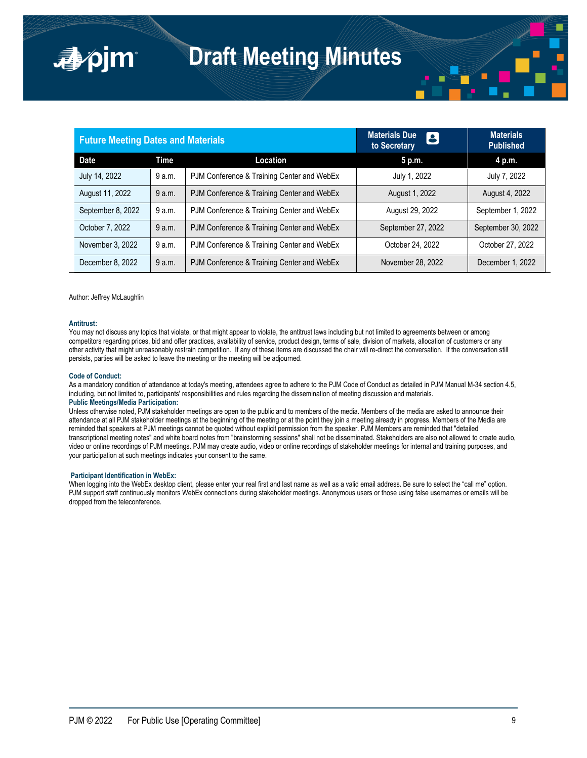| <b>Future Meeting Dates and Materials</b> |        |                                            | <b>Materials Due</b><br>8<br>to Secretary | <b>Materials</b><br><b>Published</b> |
|-------------------------------------------|--------|--------------------------------------------|-------------------------------------------|--------------------------------------|
| <b>Date</b>                               | Time   | Location                                   | 5 p.m.                                    | 4 p.m.                               |
| July 14, 2022                             | 9 a.m. | PJM Conference & Training Center and WebEx | July 1, 2022                              | July 7, 2022                         |
| August 11, 2022                           | 9 a.m. | PJM Conference & Training Center and WebEx | August 1, 2022                            | August 4, 2022                       |
| September 8, 2022                         | 9 a.m. | PJM Conference & Training Center and WebEx | August 29, 2022                           | September 1, 2022                    |
| October 7, 2022                           | 9 a.m. | PJM Conference & Training Center and WebEx | September 27, 2022                        | September 30, 2022                   |
| November 3, 2022                          | 9 a.m. | PJM Conference & Training Center and WebEx | October 24, 2022                          | October 27, 2022                     |
| December 8, 2022                          | 9 a.m. | PJM Conference & Training Center and WebEx | November 28, 2022                         | December 1, 2022                     |

Author: Jeffrey McLaughlin

■pim

#### **Antitrust:**

You may not discuss any topics that violate, or that might appear to violate, the antitrust laws including but not limited to agreements between or among competitors regarding prices, bid and offer practices, availability of service, product design, terms of sale, division of markets, allocation of customers or any other activity that might unreasonably restrain competition. If any of these items are discussed the chair will re-direct the conversation. If the conversation still persists, parties will be asked to leave the meeting or the meeting will be adjourned.

#### **Code of Conduct:**

As a mandatory condition of attendance at today's meeting, attendees agree to adhere to the PJM Code of Conduct as detailed in PJM Manual M-34 section 4.5, including, but not limited to, participants' responsibilities and rules regarding the dissemination of meeting discussion and materials. **Public Meetings/Media Participation:** 

Unless otherwise noted, PJM stakeholder meetings are open to the public and to members of the media. Members of the media are asked to announce their attendance at all PJM stakeholder meetings at the beginning of the meeting or at the point they join a meeting already in progress. Members of the Media are reminded that speakers at PJM meetings cannot be quoted without explicit permission from the speaker. PJM Members are reminded that "detailed transcriptional meeting notes" and white board notes from "brainstorming sessions" shall not be disseminated. Stakeholders are also not allowed to create audio, video or online recordings of PJM meetings. PJM may create audio, video or online recordings of stakeholder meetings for internal and training purposes, and your participation at such meetings indicates your consent to the same.

#### **Participant Identification in WebEx:**

When logging into the WebEx desktop client, please enter your real first and last name as well as a valid email address. Be sure to select the "call me" option. PJM support staff continuously monitors WebEx connections during stakeholder meetings. Anonymous users or those using false usernames or emails will be dropped from the teleconference.